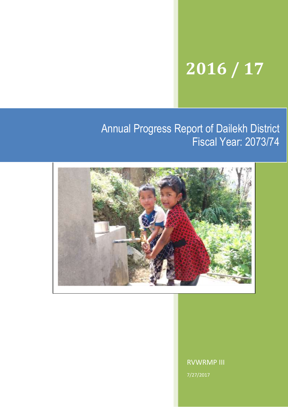# **2016 / 17**

## Annual Progress Report of Dailekh District Fiscal Year: 2073/74



Please add a good photo here ..................

RVWRMP III 7/27/2017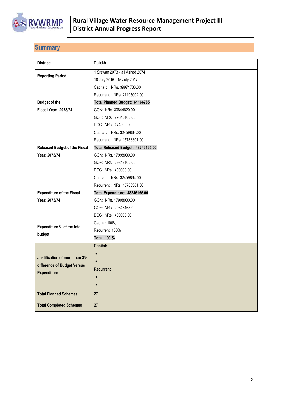

## <span id="page-1-0"></span>**Summary**

| District:                            | Dailekh                            |
|--------------------------------------|------------------------------------|
|                                      | 1 Srawan 2073 - 31 Ashad 2074      |
| <b>Reporting Period:</b>             | 16 July 2016 - 15 July 2017        |
|                                      | Capital: NRs. 39971783.00          |
|                                      | Recurrent: NRs. 21195002.00        |
| <b>Budget of the</b>                 | Total Planned Budget: 61166785     |
| <b>Fiscal Year: 2073/74</b>          | GON: NRs. 30844620.00              |
|                                      | GOF: NRs. 29848165.00              |
|                                      | DCC: NRs. 474000.00                |
|                                      | Capital: NRs. 32459864.00          |
|                                      | Recurrent: NRs. 15786301.00        |
| <b>Released Budget of the Fiscal</b> | Total Released Budget: 48246165.00 |
| Year: 2073/74                        | GON: NRs. 17998000.00              |
|                                      | GOF: NRs. 29848165.00              |
|                                      | DCC: NRs. 400000.00                |
|                                      | Capital: NRs. 32459864.00          |
|                                      | Recurrent: NRs. 15786301.00        |
| <b>Expenditure of the Fiscal</b>     | Total Expenditure: 48246165.00     |
| Year: 2073/74                        | GON: NRs. 17998000.00              |
|                                      | GOF: NRs. 29848165.00              |
|                                      | DCC: NRs. 400000.00                |
| Expenditure % of the total           | Capital: 100%                      |
| budget                               | Recurrent: 100%                    |
|                                      | Total: 100 %                       |
|                                      | Capital:                           |
|                                      | $\bullet$                          |
| Justification of more than 3%        | $\bullet$                          |
| difference of Budget Versus          | <b>Recurrent</b>                   |
| <b>Expenditure</b>                   |                                    |
|                                      |                                    |
| <b>Total Planned Schemes</b>         | 27                                 |
| <b>Total Completed Schemes</b>       | 27                                 |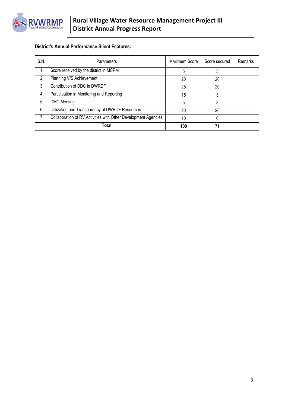

### **District's Annual Performance Silent Features:**

| S.N. | Parameters                                                     | Maximum Score | Score secured | Remarks |
|------|----------------------------------------------------------------|---------------|---------------|---------|
|      | Score received by the district in MCPM                         | 5             | 5             |         |
| 2    | Planning V/S Achievement                                       | 20            | 20            |         |
| 3    | Contribution of DDC in DWRDF                                   | 25            | 20            |         |
| 4    | Participation in Monitoring and Reporting                      | 15            |               |         |
| 5    | <b>DMC</b> Meeting                                             | 5             |               |         |
| 6    | Utilization and Transparency of DWRDF Resources                | 20            | 20            |         |
|      | Collaboration of RV Activities with Other Development Agencies | 10            |               |         |
|      | Total                                                          | 100           |               |         |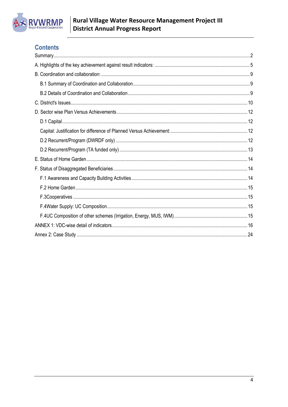

## **Contents**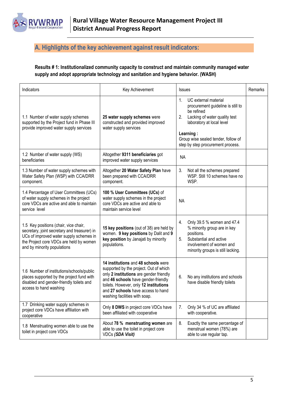

## <span id="page-4-0"></span>**A. Highlights of the key achievement against result indicators:**

**Results # 1: Institutionalized community capacity to construct and maintain community managed water supply and adopt appropriate technology and sanitation and hygiene behavior. (WASH)**

| Indicators                                                                                                                                                                                                 | Key Achievement                                                                                                                                                                                                                                                                  | <b>Issues</b>                                                                                                                                                                                                                                          | Remarks |
|------------------------------------------------------------------------------------------------------------------------------------------------------------------------------------------------------------|----------------------------------------------------------------------------------------------------------------------------------------------------------------------------------------------------------------------------------------------------------------------------------|--------------------------------------------------------------------------------------------------------------------------------------------------------------------------------------------------------------------------------------------------------|---------|
| 1.1 Number of water supply schemes<br>supported by the Project fund in Phase III<br>provide improved water supply services                                                                                 | 25 water supply schemes were<br>constructed and provided improved<br>water supply services                                                                                                                                                                                       | 1 <sub>1</sub><br>UC external material<br>procurement guideline is still to<br>be refined<br>2.<br>Lacking of water quality test<br>laboratory at local level<br>Learning:<br>Group wise sealed tender, follow of<br>step by step procurement process. |         |
| 1.2 Number of water supply (WS)<br>beneficiaries                                                                                                                                                           | Altogether 9311 beneficiaries got<br>improved water supply services                                                                                                                                                                                                              | <b>NA</b>                                                                                                                                                                                                                                              |         |
| 1.3 Number of water supply schemes with<br>Water Safety Plan (WSP) with CCA/DRR<br>component.                                                                                                              | Altogether 20 Water Safety Plan have<br>been prepared with CCA/DRR<br>component.                                                                                                                                                                                                 | 3.<br>Not all the schemes prepared<br>WSP. Still 10 schemes have no<br>WSP.                                                                                                                                                                            |         |
| 1.4 Percentage of User Committees (UCs)<br>of water supply schemes in the project<br>core VDCs are active and able to maintain<br>service level                                                            | 100 % User Committees (UCs) of<br>water supply schemes in the project<br>core VDCs are active and able to<br>maintain service level                                                                                                                                              | <b>NA</b>                                                                                                                                                                                                                                              |         |
| 1.5 Key positions (chair, vice chair,<br>secretary, joint secretary and treasurer) in<br>UCs of improved water supply schemes in<br>the Project core VDCs are held by women<br>and by minority populations | 15 key positions (out of 38) are held by<br>women. 9 key positions by Dalit and 9<br>key position by Janajati by minority<br>populations.                                                                                                                                        | 4.<br>Only 39.5 % women and 47.4<br>% minority group are in key<br>positions.<br>5.<br>Substantial and active<br>involvement of women and<br>minority groups is still lacking.                                                                         |         |
| 1.6 Number of institutions/schools/public<br>places supported by the project fund with<br>disabled and gender-friendly toilets and<br>access to hand washing                                               | 14 institutions and 48 schools were<br>supported by the project. Out of which<br>only 2 institutions are gender friendly<br>and 46 schools have gender-friendly<br>toilets. However, only 12 institutions<br>and 27 schools have access to hand<br>washing facilities with soap. | 6.<br>No any institutions and schools<br>have disable friendly toilets                                                                                                                                                                                 |         |
| 1.7 Drinking water supply schemes in<br>project core VDCs have affiliation with<br>cooperative                                                                                                             | Only 8 DWS in project core VDCs have<br>been affiliated with cooperative                                                                                                                                                                                                         | 7.<br>Only 34 % of UC are affiliated<br>with cooperative.                                                                                                                                                                                              |         |
| 1.8 Menstruating women able to use the<br>toilet in project core VDCs                                                                                                                                      | About 78 % menstruating women are<br>able to use the toilet in project core<br><b>VDCs (SDA Visit)</b>                                                                                                                                                                           | 8.<br>Exactly the same percentage of<br>menstrual women (78%) are<br>able to use regular tap.                                                                                                                                                          |         |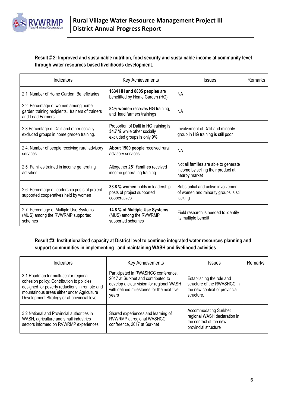

#### **Result # 2: Improved and sustainable nutrition, food security and sustainable income at community level through water resources based livelihoods development.**

| Indicators                                                                                                 | <b>Key Achievements</b>                                                                            | <b>Issues</b>                                                                                | <b>Remarks</b> |
|------------------------------------------------------------------------------------------------------------|----------------------------------------------------------------------------------------------------|----------------------------------------------------------------------------------------------|----------------|
| 2.1 Number of Home Garden Beneficiaries                                                                    | 1634 HH and 8805 peoples are<br>benefitted by Home Garden (HG)                                     | <b>NA</b>                                                                                    |                |
| 2.2 Percentage of women among home<br>garden training recipients, trainers of trainers<br>and Lead Farmers | 84% women receives HG training,<br>and lead farmers trainings                                      | <b>NA</b>                                                                                    |                |
| 2.3 Percentage of Dalit and other socially<br>excluded groups in home garden training.                     | Proportion of Dalit in HG training is<br>34.7 % while other socially<br>excluded groups is only 9% | Involvement of Dalit and minority<br>group in HG training is still poor                      |                |
| 2.4. Number of people receiving rural advisory<br>services                                                 | About 1900 people received rural<br>advisory services                                              | <b>NA</b>                                                                                    |                |
| 2.5 Families trained in income generating<br>activities                                                    | Altogether 251 families received<br>income generating training                                     | Not all families are able to generate<br>income by selling their product at<br>nearby market |                |
| 2.6 Percentage of leadership posts of project<br>supported cooperatives held by women                      | 38.8 % women holds in leadership<br>posts of project supported<br>cooperatives                     | Substantial and active involvement<br>of women and minority groups is still<br>lacking       |                |
| 2.7 Percentage of Multiple Use Systems<br>(MUS) among the RVWRMP supported<br>schemes                      | 14.8 % of Multiple Use Systems<br>(MUS) among the RVWRMP<br>supported schemes                      | Field research is needed to identify<br>its multiple benefit                                 |                |

#### **Result #3: Institutionalized capacity at District level to continue integrated water resources planning and support communities in implementing and maintaining WASH and livelihood activities**

| <b>Indicators</b>                                                                                                                                                                                                                | Key Achievements                                                                                                                                                            | <b>Issues</b>                                                                                                  | Remarks |
|----------------------------------------------------------------------------------------------------------------------------------------------------------------------------------------------------------------------------------|-----------------------------------------------------------------------------------------------------------------------------------------------------------------------------|----------------------------------------------------------------------------------------------------------------|---------|
| 3.1 Roadmap for multi-sector regional<br>cohesion policy: Contribution to policies<br>designed for poverty reductions in remote and<br>mountainous areas either under Agriculture<br>Development Strategy or at provincial level | Participated in RWASHCC conference,<br>2017 at Surkhet and contributed to<br>develop a clear vision for regional WASH<br>with defined milestones for the next five<br>years | Establishing the role and<br>structure of the RWASHCC in<br>the new context of provincial<br>structure.        |         |
| 3.2 National and Provincial authorities in<br>WASH, agriculture and small industries<br>sectors informed on RVWRMP experiences                                                                                                   | Shared experiences and learning of<br>RVWRMP at regional WASHCC<br>conference, 2017 at Surkhet                                                                              | <b>Accommodating Surkhet</b><br>regional WASH declaration in<br>the context of the new<br>provincial structure |         |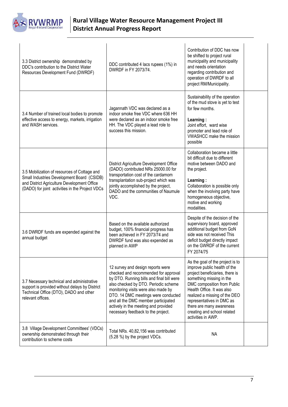

| 3.3 District ownership demonstrated by<br>DDC's contribution to the District Water<br>Resources Development Fund (DWRDF)                                                                     | DDC contributed 4 lacs rupees (1%) in<br>DWRDF in FY 2073/74.                                                                                                                                                                                                                                                                                                     | Contribution of DDC has now<br>be shifted to project rural<br>municipality and municipality<br>and needs orientation<br>regarding contribution and<br>operation of DWRDF to all<br>project RM/Municipality.                                                                                                                                 |  |
|----------------------------------------------------------------------------------------------------------------------------------------------------------------------------------------------|-------------------------------------------------------------------------------------------------------------------------------------------------------------------------------------------------------------------------------------------------------------------------------------------------------------------------------------------------------------------|---------------------------------------------------------------------------------------------------------------------------------------------------------------------------------------------------------------------------------------------------------------------------------------------------------------------------------------------|--|
| 3.4 Number of trained local bodies to promote<br>effective access to energy, markets, irrigation<br>and WASH services.                                                                       | Jagannath VDC was declared as a<br>indoor smoke free VDC where 636 HH<br>were declared as an indoor smoke free<br>HH. The VDC played a lead role to<br>success this mission.                                                                                                                                                                                      | Sustainability of the operation<br>of the mud stove is yet to test<br>for few months.<br>Learning:<br>Joint effort, ward wise<br>promoter and lead role of<br><b>VWASHCC</b> make the mission<br>possible                                                                                                                                   |  |
| 3.5 Mobilization of resources of Cottage and<br>Small Industries Development Board (CSIDB)<br>and District Agriculture Development Office<br>(DADO) for joint activities in the Project VDCs | District Agriculture Development Office<br>(DADO) contributed NRs 25000.00 for<br>transportation cost of the cardamom<br>transplantation sub-project which was<br>jointly accomplished by the project,<br>DADO and the communities of Naumule<br>VDC.                                                                                                             | Collaboration became a little<br>bit difficult due to different<br>motive between DADO and<br>the project.<br>Learning:<br>Collaboration is possible only<br>when the involving party have<br>homogeneous objective,<br>motive and working<br>modalities.                                                                                   |  |
| 3.6 DWRDF funds are expended against the<br>annual budget                                                                                                                                    | Based on the available authorized<br>budget, 100% financial progress has<br>been achieved in FY 2073/74 and<br>DWRDF fund was also expended as<br>planned in AWP                                                                                                                                                                                                  | Despite of the decision of the<br>supervisory board, approved<br>additional budget from GoN<br>side was not received This<br>deficit budget directly impact<br>on the GWRDF of the current<br>FY 2074/75                                                                                                                                    |  |
| 3.7 Necessary technical and administrative<br>support is provided without delays by District<br>Technical Office (DTO), DADO and other<br>relevant offices.                                  | 12 survey and design reports were<br>checked and recommended for approval<br>by DTO. Running bills and final bill were<br>also checked by DTO. Periodic scheme<br>monitoring visits were also made by<br>DTO. 14 DMC meetings were conducted<br>and all the DMC member participated<br>actively in the meeting and provided<br>necessary feedback to the project. | As the goal of the project is to<br>improve public health of the<br>project beneficiaries, there is<br>something missing in the<br>DMC composition from Public<br>Health Office. It was also<br>realized a missing of the DEO<br>representatives in DMC as<br>there are many awareness<br>creating and school related<br>activities in AWP. |  |
| 3.8 Village Development Committees' (VDCs)<br>ownership demonstrated through their<br>contribution to scheme costs                                                                           | Total NRs. 40,82,156 was contributed<br>(5.28 %) by the project VDCs.                                                                                                                                                                                                                                                                                             | <b>NA</b>                                                                                                                                                                                                                                                                                                                                   |  |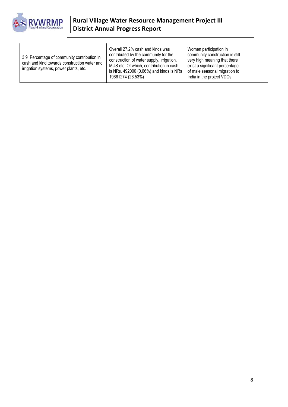

| 3.9 Percentage of community contribution in<br>cash and kind towards construction water and<br>irrigation systems, power plants, etc. | Overall 27.2% cash and kinds was<br>contributed by the community for the<br>construction of water supply, irrigation,<br>MUS etc. Of which, contribution in cash<br>is NRs. 492000 (0.66%) and kinds is NRs<br>19661274 (26.53%) | Women participation in<br>community construction is still<br>very high meaning that there<br>exist a significant percentage<br>of male seasonal migration to<br>India in the project VDCs |  |
|---------------------------------------------------------------------------------------------------------------------------------------|----------------------------------------------------------------------------------------------------------------------------------------------------------------------------------------------------------------------------------|-------------------------------------------------------------------------------------------------------------------------------------------------------------------------------------------|--|
|---------------------------------------------------------------------------------------------------------------------------------------|----------------------------------------------------------------------------------------------------------------------------------------------------------------------------------------------------------------------------------|-------------------------------------------------------------------------------------------------------------------------------------------------------------------------------------------|--|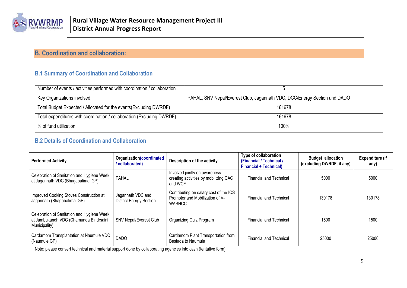

## **B. Coordination and collaboration:**

## **B.1 Summary of Coordination and Collaboration**

| Number of events / activities performed with coordination / collaboration |                                                                           |
|---------------------------------------------------------------------------|---------------------------------------------------------------------------|
| Key Organizations involved                                                | PAHAL, SNV Nepal/Everest Club, Jagannath VDC, DCC/Energy Section and DADO |
| Total Budget Expected / Allocated for the events (Excluding DWRDF)        | 161678                                                                    |
| Total expenditures with coordination / collaboration (Excluding DWRDF)    | 161678                                                                    |
| % of fund utilization                                                     | 100%                                                                      |

### **B.2 Details of Coordination and Collaboration**

<span id="page-8-1"></span><span id="page-8-0"></span>

| <b>Performed Activity</b>                                                                             | Organization (coordinated<br>/ collaborated)        | Description of the activity                                                                | Type of collaboration<br>(Financial / Technical /<br><b>Financial + Technical)</b> | <b>Budget allocation</b><br>(excluding DWRDF, if any) | <b>Expenditure (if</b><br>any) |
|-------------------------------------------------------------------------------------------------------|-----------------------------------------------------|--------------------------------------------------------------------------------------------|------------------------------------------------------------------------------------|-------------------------------------------------------|--------------------------------|
| Celebration of Sanitation and Hygiene Week<br>at Jagannath VDC (Bhagabatimai GP)                      | <b>PAHAL</b>                                        | Involved jointly on awareness<br>creating activities by mobilizing CAC<br>and WCF          | <b>Financial and Technical</b>                                                     | 5000                                                  | 5000                           |
| Improved Cooking Stoves Construction at<br>Jagannath (Bhagabatimai GP)                                | Jagannath VDC and<br><b>District Energy Section</b> | Contributing on salary cost of the ICS<br>Promoter and Mobilization of V-<br><b>WASHCC</b> | <b>Financial and Technical</b>                                                     | 130178                                                | 130178                         |
| Celebration of Sanitation and Hygiene Week<br>at Jambukandh VDC (Chamunda Bindrsaini<br>Municipality) | <b>SNV Nepal/Everest Club</b>                       | Organizing Quiz Program                                                                    | <b>Financial and Technical</b>                                                     | 1500                                                  | 1500                           |
| Cardamom Transplantation at Naumule VDC<br>(Naumule GP)                                               | <b>DADO</b>                                         | Cardamom Plant Transportation from<br>Bestada to Naumule                                   | <b>Financial and Technical</b>                                                     | 25000                                                 | 25000                          |

<span id="page-8-2"></span>Note: please convert technical and material support done by collaborating agencies into cash (tentative form).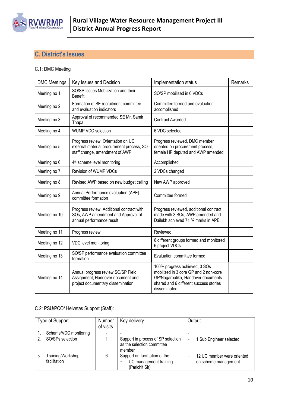

## <span id="page-9-0"></span>**C. District's Issues**

#### C.1: DMC Meeting

| <b>DMC Meetings</b>                                                                | Key Issues and Decision                                                                                           | Implementation status                                                                                                                                                  | Remarks |
|------------------------------------------------------------------------------------|-------------------------------------------------------------------------------------------------------------------|------------------------------------------------------------------------------------------------------------------------------------------------------------------------|---------|
| Meeting no 1                                                                       | SO/SP Issues Mobilization and their<br><b>Benefit</b>                                                             | SO/SP mobilized in 6 VDCs                                                                                                                                              |         |
| Formation of SE recruitment committee<br>Meeting no 2<br>and evaluation indicators |                                                                                                                   | Committee formed and evaluation<br>accomplished                                                                                                                        |         |
| Meeting no 3                                                                       | Approval of recommended SE Mr. Samir<br>Thapa                                                                     | <b>Contract Awarded</b>                                                                                                                                                |         |
| Meeting no 4                                                                       | <b>WUMP VDC selection</b>                                                                                         | 6 VDC selected                                                                                                                                                         |         |
| Meeting no 5                                                                       | Progress review, Orientation on UC<br>external material procurement process, SO<br>staff change, amendment of AWP | Progress reviewed, DMC member<br>oriented on procurement process,<br>female HP deputed and AWP amended                                                                 |         |
| Meeting no 6                                                                       | 4 <sup>th</sup> scheme level monitoring                                                                           | Accomplished                                                                                                                                                           |         |
| Meeting no 7                                                                       | Revision of WUMP VDCs                                                                                             | 2 VDCs changed                                                                                                                                                         |         |
| Meeting no 8                                                                       | Revised AWP based on new budget ceiling                                                                           | New AWP approved                                                                                                                                                       |         |
| Meeting no 9                                                                       | Annual Performance evaluation (APE)<br>committee formation                                                        | Committee formed                                                                                                                                                       |         |
| Meeting no 10                                                                      | Progress review, Additional contract with<br>SOs, AWP amendment and Approval of<br>annual performance result      | Progress reviewed, additional contract<br>made with 3 SOs, AWP amended and<br>Dailekh achieved 71 % marks in APE.                                                      |         |
| Meeting no 11                                                                      | Progress review                                                                                                   | Reviewed                                                                                                                                                               |         |
| Meeting no 12                                                                      | VDC level monitoring                                                                                              | 6 different groups formed and monitored<br>6 project VDCs                                                                                                              |         |
| Meeting no 13                                                                      | SO/SP performance evaluation committee<br>formation                                                               | Evaluation committee formed                                                                                                                                            |         |
| Meeting no 14                                                                      | Annual progress review, SO/SP Field<br>Assignment, Handover document and<br>project documentary dissemination     | 100% progress achieved, 3 SOs<br>mobilized in 3 core GP and 2 non-core<br>GP/Nagarpalika, Handover documents<br>shared and 6 different success stories<br>disseminated |         |

#### C.2: PSU/PCO/ Helvetas Support (Staff):

| Type of Support                   | Number<br>of visits | Key delivery                                                               | Output                                             |
|-----------------------------------|---------------------|----------------------------------------------------------------------------|----------------------------------------------------|
| Scheme/VDC monitoring             | -                   |                                                                            |                                                    |
| SO/SPs selection                  |                     | Support in process of SP selection<br>as the selection committee<br>member | 1 Sub Engineer selected<br>-                       |
| Training/Workshop<br>facilitation | 6                   | Support on facilitation of the<br>UC management training<br>(Parichit Sir) | 12 UC member were oriented<br>on scheme management |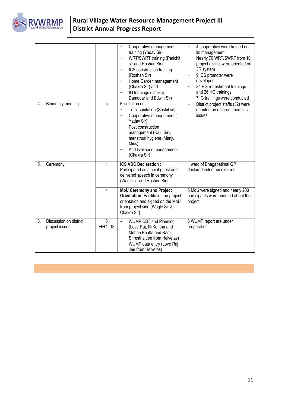

|    |                                          |                | Cooperative management<br>-<br>training (Yadav Sir)<br>WRT/SWRT training (Parichit<br>۰<br>sir and Roshan Sir)<br>ICS construction training<br>۰<br>(Roshan Sir)<br>Home Garden management<br>$\overline{a}$<br>(Chakra Sir) and<br>IG trainings (Chakra,<br>Damodar and Edwin Sir)  | 4 cooperative were trained on<br>$\overline{\phantom{a}}$<br>its management<br>Nearly 70 WRT/SWRT from 10<br>$\qquad \qquad -$<br>project district were oriented on<br>3R system<br>9 ICS promoter were<br>$\overline{\phantom{a}}$<br>developed<br>34 HG refreshment trainings<br>$\overline{\phantom{0}}$<br>and 26 HG trainings<br>7 IG trainings were conducted<br>$\overline{\phantom{a}}$ |
|----|------------------------------------------|----------------|--------------------------------------------------------------------------------------------------------------------------------------------------------------------------------------------------------------------------------------------------------------------------------------|-------------------------------------------------------------------------------------------------------------------------------------------------------------------------------------------------------------------------------------------------------------------------------------------------------------------------------------------------------------------------------------------------|
| 4. | Bimonthly meeting                        | 5              | Facilitation on<br>Total sanitation (Sushil sir)<br>$\overline{\phantom{0}}$<br>Cooperative management (<br>۰<br>Yadav Sir),<br>Post construction<br>$\overline{a}$<br>management (Raju Sir),<br>menstrual hygiene (Manju<br>Miss)<br>And livelihood management<br>۰<br>(Chakra Sir) | District project staffs (32) were<br>$\overline{\phantom{a}}$<br>oriented on different thematic<br>issues                                                                                                                                                                                                                                                                                       |
| 5. | Ceremony                                 | 1              | <b>ICS VDC Declaration:</b><br>Participated as a chief guest and<br>delivered speech in ceremony<br>(Wagle sir and Roshan Sir)                                                                                                                                                       | 1 ward of Bhagabatimai GP<br>declared indoor smoke free                                                                                                                                                                                                                                                                                                                                         |
|    |                                          | 4              | <b>MoU Ceremony and Project</b><br><b>Orientation: Facilitation on project</b><br>orientation and signed on the MoU<br>from project side (Wagle Sir &<br>Chakra Sir).                                                                                                                | 5 MoU were signed and nearly 200<br>participants were oriented about the<br>project.                                                                                                                                                                                                                                                                                                            |
| 6. | Discussion on district<br>project issues | 6<br>$+6+1=13$ | <b>WUMP CBT and Planning</b><br>$\overline{\phantom{0}}$<br>(Love Raj, NilKantha and<br>Mohan Bhatta and Ram<br>Shrestha Jee from Helvetas)<br>WUMP data entry (Love Raj<br>Jee from Helvetas)                                                                                       | 6 WUMP report are under<br>preparation                                                                                                                                                                                                                                                                                                                                                          |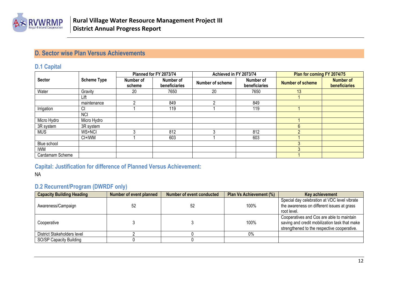

## **D. Sector wise Plan Versus Achievements**

#### **D.1 Capital**

|                 |                    |                     | Planned for FY 2073/74     | Achieved in FY 2073/74 |                            | Plan for coming FY 2074/75 |                                   |
|-----------------|--------------------|---------------------|----------------------------|------------------------|----------------------------|----------------------------|-----------------------------------|
| <b>Sector</b>   | <b>Scheme Type</b> | Number of<br>scheme | Number of<br>beneficiaries | Number of scheme       | Number of<br>beneficiaries | <b>Number of scheme</b>    | <b>Number of</b><br>beneficiaries |
| Water           | Gravity            | 20                  | 7650                       | 20                     | 7650                       | 13                         |                                   |
|                 | Lift               |                     |                            |                        |                            |                            |                                   |
|                 | maintenance        |                     | 849                        | ◠                      | 849                        |                            |                                   |
| Irrigation      | СI                 |                     | 119                        |                        | 119                        |                            |                                   |
|                 | <b>NCI</b>         |                     |                            |                        |                            |                            |                                   |
| Micro Hydro     | Micro Hydro        |                     |                            |                        |                            |                            |                                   |
| 3R system       | 3R system          |                     |                            |                        |                            |                            |                                   |
| <b>MUS</b>      | WS+NCI             |                     | 812                        |                        | 812                        |                            |                                   |
|                 | CI+IWM             |                     | 603                        |                        | 603                        |                            |                                   |
| Blue school     |                    |                     |                            |                        |                            |                            |                                   |
| <b>IWM</b>      |                    |                     |                            |                        |                            |                            |                                   |
| Cardamam Scheme |                    |                     |                            |                        |                            |                            |                                   |

### <span id="page-11-0"></span>**Capital: Justification for difference of Planned Versus Achievement:**

#### <span id="page-11-1"></span>NA

### **D.2 Recurrent/Program (DWRDF only)**

<span id="page-11-3"></span><span id="page-11-2"></span>

| <b>Capacity Building Heading</b> | Number of event planned | Number of event conducted | Plan Vs Achievement (%) | Key achievement                                                                                                                           |
|----------------------------------|-------------------------|---------------------------|-------------------------|-------------------------------------------------------------------------------------------------------------------------------------------|
| Awareness/Campaign               | 52                      | 52                        | 100%                    | Special day celebration at VDC level vibrate<br>the awareness on different issues at grass<br>root level.                                 |
| Cooperative                      |                         |                           | 100%                    | Cooperatives and Cos are able to maintain<br>saving and credit mobilization task that make<br>strengthened to the respective cooperative. |
| District Stakeholders level      |                         |                           | $0\%$                   |                                                                                                                                           |
| SO/SP Capacity Building          |                         |                           |                         |                                                                                                                                           |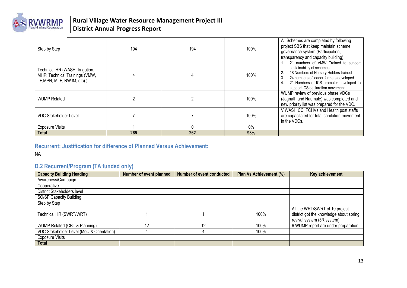

| Step by Step                                                                                   | 194 | 194 | 100% | All Schemes are completed by following<br>project SBS that keep maintain scheme<br>governance system (Participation,<br>transparency and capacity building).                                                                                          |
|------------------------------------------------------------------------------------------------|-----|-----|------|-------------------------------------------------------------------------------------------------------------------------------------------------------------------------------------------------------------------------------------------------------|
| Technical HR (WASH, Irrigation,<br>MHP: Technical Trainings (VMW,<br>LF, MPN, MLF, RWJM, etc)) |     |     | 100% | 21 numbers of VMW Trained to support<br>sustainability of schemes<br>18 Numbers of Nursery Holders trained<br>2.<br>24 numbers of leader farmers developed<br>3.<br>21 Numbers of ICS promoter developed to<br>4.<br>support ICS declaration movement |
| <b>WUMP Related</b>                                                                            |     |     | 100% | WUMP review of previous phase VDCs<br>(Jagnath and Naumule) was completed and<br>new priority list was prepared for the VDC.                                                                                                                          |
| <b>VDC Stakeholder Level</b>                                                                   |     |     | 100% | V WASH CC, FCHVs and Health post staffs<br>are capacitated for total sanitation movement<br>in the VDCs.                                                                                                                                              |
| <b>Exposure Visits</b>                                                                         |     |     | 0%   |                                                                                                                                                                                                                                                       |
| Total                                                                                          | 265 | 262 | 98%  |                                                                                                                                                                                                                                                       |

#### **Recurrent: Justification for difference of Planned Versus Achievement:**

NA

## **D.2 Recurrent/Program (TA funded only)**

<span id="page-12-0"></span>

| <b>Capacity Building Heading</b>          | <b>Number of event planned</b> | Number of event conducted | Plan Vs Achievement (%) | Key achievement                                                                                         |
|-------------------------------------------|--------------------------------|---------------------------|-------------------------|---------------------------------------------------------------------------------------------------------|
| Awareness/Campaign                        |                                |                           |                         |                                                                                                         |
| Cooperative                               |                                |                           |                         |                                                                                                         |
| District Stakeholders level               |                                |                           |                         |                                                                                                         |
| SO/SP Capacity Building                   |                                |                           |                         |                                                                                                         |
| Step by Step                              |                                |                           |                         |                                                                                                         |
| Technical HR (SWRT/WRT)                   |                                |                           | 100%                    | All the WRT/SWRT of 10 project<br>district got the knowledge about spring<br>revival system (3R system) |
| WUMP Related (CBT & Planning)             | 12                             | 12                        | 100%                    | 6 WUMP report are under preparation                                                                     |
| VDC Stakeholder Level (MoU & Orientation) |                                |                           | 100%                    |                                                                                                         |
| <b>Exposure Visits</b>                    |                                |                           |                         |                                                                                                         |
| <b>Total</b>                              |                                |                           |                         |                                                                                                         |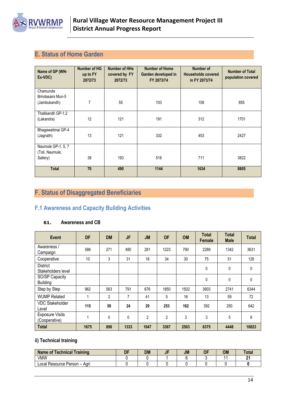

## <span id="page-13-0"></span>**E. Status of Home Garden**

| Name of GP (WN-<br>Ex-VDC)                        | <b>Number of HG</b><br>up to FY<br>2072/73 | <b>Number of HHs</b><br>covered by FY<br>2072/73 | <b>Number of Home</b><br>Garden developed in<br>FY 2073/74 | Number of<br><b>Households covered</b><br>in FY 2073/74 | <b>Number of Total</b><br>population covered |
|---------------------------------------------------|--------------------------------------------|--------------------------------------------------|------------------------------------------------------------|---------------------------------------------------------|----------------------------------------------|
| Chamunda<br>Brindasaini Mun-5<br>(Jambukandh)     | 7                                          | 55                                               | 103                                                        | 158                                                     | 855                                          |
| Thatikandh GP-1,2<br>(Lakandra)                   | 12                                         | 121                                              | 191                                                        | 312                                                     | 1701                                         |
| Bhagawatimai GP-4<br>(Jagnath)                    | 13                                         | 121                                              | 332                                                        | 453                                                     | 2427                                         |
| Naumule GP-1, 5, 7<br>(Toli, Naumule,<br>Sallery) | 38                                         | 193                                              | 518                                                        | 711                                                     | 3822                                         |
| <b>Total</b>                                      | 70                                         | 490                                              | 1144                                                       | 1634                                                    | 8805                                         |

## <span id="page-13-1"></span>**F. Status of Disaggregated Beneficiaries**

## <span id="page-13-2"></span>**F.1 Awareness and Capacity Building Activities**

#### **61. Awareness and CB**

| Event                                   | <b>DF</b> | <b>DM</b>      | JF   | <b>JM</b> | <b>OF</b>      | <b>OM</b> | <b>Total</b><br>Female | <b>Total</b><br><b>Male</b> | <b>Total</b> |
|-----------------------------------------|-----------|----------------|------|-----------|----------------|-----------|------------------------|-----------------------------|--------------|
| Awareness /<br>Campaign                 | 586       | 271            | 480  | 281       | 1223           | 790       | 2289                   | 1342                        | 3631         |
| Cooperative                             | 10        | 3              | 31   | 18        | 34             | 30        | 75                     | 51                          | 126          |
| <b>District</b><br>Stakeholders level   |           |                |      |           |                |           | 0                      | 0                           | $\mathbf{0}$ |
| SO/SP Capacity<br><b>Building</b>       |           |                |      |           |                |           | $\mathbf 0$            | 0                           | $\mathbf{0}$ |
| Step by Step                            | 962       | 563            | 791  | 676       | 1850           | 1502      | 3603                   | 2741                        | 6344         |
| <b>WUMP Related</b>                     |           | $\overline{2}$ | 7    | 41        | 5              | 16        | 13                     | 59                          | 72           |
| <b>VDC Stakeholder</b><br>Level         | 115       | 59             | 24   | 29        | 253            | 162       | 392                    | 250                         | 642          |
| <b>Exposure Visits</b><br>(Cooperative) |           | 0              | 0    | 2         | $\overline{2}$ | 3         | 3                      | 5                           | 8            |
| <b>Total</b>                            | 1675      | 898            | 1333 | 1047      | 3367           | 2503      | 6375                   | 4448                        | 10823        |

#### **ii) Technical training**

| <b>Name of Technical Training</b> | DF | DM | <b>JM</b> | <b>OM</b> | Tota <sub>l</sub> |
|-----------------------------------|----|----|-----------|-----------|-------------------|
| <b>VMW</b>                        |    |    |           |           | n.                |
| Local Resource Person -<br>. Aari |    |    |           |           |                   |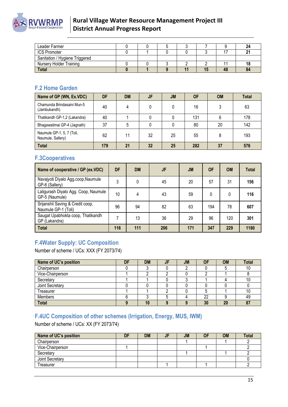

| Leader Farmer                  |  |  |  |    |
|--------------------------------|--|--|--|----|
| <b>ICS Promoter</b>            |  |  |  |    |
| Sanitation / Hygiene Triggered |  |  |  |    |
| <b>Nursery Holder Training</b> |  |  |  |    |
| <b>Total</b>                   |  |  |  | 84 |

#### <span id="page-14-0"></span>**F.2 Home Garden**

| Name of GP (WN, Ex.VDC)                        | DF  | <b>DM</b> | JF | <b>JM</b> | <b>OF</b> | <b>OM</b> | <b>Total</b> |
|------------------------------------------------|-----|-----------|----|-----------|-----------|-----------|--------------|
| Chamunda Brindasaini Mun-5<br>(Jambukandh)     | 40  | 4         |    |           | 16        |           | 63           |
| Thatikandh GP-1,2 (Lakandra)                   | 40  |           |    |           | 131       |           | 178          |
| Bhagawatimai GP-4 (Jagnath)                    | 37  | 5         |    |           | 80        | 20        | 142          |
| Naumule GP-1, 5, 7 (Toli,<br>Naumule, Sallery) | 62  | 11        | 32 | 25        | 55        |           | 193          |
| <b>Total</b>                                   | 179 | 21        | 32 | 25        | 282       | 37        | 576          |

## <span id="page-14-1"></span>**F.3Cooperatives**

| Name of cooperative / GP (ex.VDC)                       | DF  | <b>DM</b> | JF  | <b>JM</b> | <b>OF</b> | <b>OM</b> | <b>Total</b> |
|---------------------------------------------------------|-----|-----------|-----|-----------|-----------|-----------|--------------|
| Navajyoti Diyalo Agg.coop, Naumule<br>GP-6 (Sallery)    | 3   | 0         | 45  | 20        | 57        | 31        | 156          |
| Laligurash Diyalo Agg. Coop, Naumule<br>GP-5 (Naumule)  | 10  | 4         | 43  | 59        | 0         | 0         | 116          |
| Srijanshil Saving & Credit coop,<br>Naumule GP-1 (Toli) | 96  | 94        | 82  | 63        | 194       | 78        | 607          |
| Saugat Upabhokta coop, Thatikandh<br>GP (Lakandra)      |     | 13        | 36  | 29        | 96        | 120       | 301          |
| <b>Total</b>                                            | 116 | 111       | 206 | 171       | 347       | 229       | 1180         |

## <span id="page-14-2"></span>**F.4Water Supply: UC Composition**

Number of scheme / UCs: XXX (FY 2073/74)

| Name of UC's position | DF | <b>DM</b> | JF | <b>JM</b> | <b>OF</b> | <b>OM</b> | <b>Total</b> |
|-----------------------|----|-----------|----|-----------|-----------|-----------|--------------|
| Chairperson           |    |           |    |           |           |           | 10           |
| Vice-Chairperson      |    |           |    |           |           |           |              |
| Secretary             |    |           |    |           |           |           | 10           |
| Joint Secretary       |    |           |    |           |           |           |              |
| Treasurer             |    |           |    |           |           |           | 10           |
| Members               |    |           |    |           | 22        |           | 49           |
| <b>Total</b>          |    | $\Lambda$ |    |           | 30        | 20        | 87           |

## <span id="page-14-3"></span>**F.4UC Composition of other schemes (Irrigation, Energy, MUS, IWM)**

Number of scheme / UCs: XX (FY 2073/74)

| Name of UC's position | DF | <b>DM</b> | JF | <b>JM</b> | OI | <b>OM</b> | <b>Total</b> |
|-----------------------|----|-----------|----|-----------|----|-----------|--------------|
| Chairperson           |    |           |    |           |    |           |              |
| Vice-Chairperson      |    |           |    |           |    |           |              |
| Secretary             |    |           |    |           |    |           |              |
| Joint Secretary       |    |           |    |           |    |           |              |
| Treasurer             |    |           |    |           |    |           |              |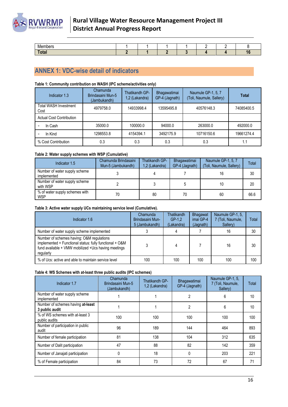## **RVWRMP**

## **Rural Village Water Resource Management Project III District Annual Progress Report**

| Members                 |  |  |  |     |
|-------------------------|--|--|--|-----|
| $T0$ tol<br><b>Ulai</b> |  |  |  | . . |

## <span id="page-15-0"></span>**ANNEX 1: VDC-wise detail of indicators**

#### **Table 1: Community contribution on WASH (IPC scheme/activities only)**

| Indicator 1.3                        | Chamunda<br>Brindasaini Mun-5<br>(Jambukandh) | Thatikandh GP-<br>1,2 (Lakandra) | Bhagawatimai<br>GP-4 (Jagnath) | Naumule GP-1, 5, 7<br>(Toli, Naumule, Sallery) | Total      |
|--------------------------------------|-----------------------------------------------|----------------------------------|--------------------------------|------------------------------------------------|------------|
| <b>Total WASH Investment</b><br>Cost | 4979758.0                                     | 14933998.4                       | 13595495.8                     | 40576148.3                                     | 74085400.5 |
| <b>Actual Cost Contribution</b>      |                                               |                                  |                                |                                                |            |
| In Cash                              | 35000.0                                       | 100000.0                         | 94000.0                        | 263000.0                                       | 492000.0   |
| In Kind                              | 1298553.8                                     | 4154394.1                        | 3492175.9                      | 10716150.6                                     | 19661274.4 |
| % Cost Contribution                  | 0.3                                           | 0.3                              | 0.3                            | 0.3                                            |            |

#### **Table 2: Water supply schemes with WSP (Cumulative)**

| Indicator 1.5                                | Chamunda Brindasaini<br>Mun-5 (Jambukandh) | Thatikandh GP-<br>1,2 (Lakandra) | Bhagawatimai<br>GP-4 (Jagnath) | Naumule GP-1, 5, 7<br>(Toli, Naumule, Sallery) | Total |
|----------------------------------------------|--------------------------------------------|----------------------------------|--------------------------------|------------------------------------------------|-------|
| Number of water supply scheme<br>implemented |                                            |                                  |                                | 16                                             | 30    |
| Number of water supply scheme<br>with WSP    |                                            |                                  |                                | 10                                             | 20    |
| % of water supply schemes with<br><b>WSP</b> | 70                                         | 80                               | 70                             | 60                                             | 66.6  |

#### **Table 3: Active water supply UCs maintaining service level (Cumulative).**

| Indicator 1.6                                                                                                                                                             | Chamunda<br>Brindasaini Mun-<br>5 (Jambukandh) | <b>Thatikandh</b><br>$GP-1.2$<br>(Lakandra) | Bhagawat<br>imai GP-4<br>(Jagnath) | Naumule GP-1, 5.<br>7 (Toli, Naumule,<br>Sallery) | Total |
|---------------------------------------------------------------------------------------------------------------------------------------------------------------------------|------------------------------------------------|---------------------------------------------|------------------------------------|---------------------------------------------------|-------|
| Number of water supply scheme implemented                                                                                                                                 |                                                | 4                                           |                                    | 16                                                | 30    |
| Number of schemes having: O&M regulations<br>implemented + Functional status: fully functional + O&M<br>fund available + VMW mobilized + Ucs having meetings<br>regularly |                                                | 4                                           |                                    | 16                                                | 30    |
| % of Ucs: active and able to maintain service level                                                                                                                       | 100                                            | 100                                         | 100                                | 100                                               | 100   |

#### **Table 4: WS Schemes with at-least three public audits (IPC schemes)**

| Indicator 1.7                                       | Chamunda<br>Brindasaini Mun-5<br>(Jambukandh) | Thatikandh GP-<br>1,2 (Lakandra) | Bhagawatimai<br>GP-4 (Jagnath) | Naumule GP-1, 5,<br>7 (Toli, Naumule,<br>Sallery) | Total |
|-----------------------------------------------------|-----------------------------------------------|----------------------------------|--------------------------------|---------------------------------------------------|-------|
| Number of water supply scheme<br>implemented        |                                               |                                  | 2                              | 6                                                 | 10    |
| Number of schemes having at-least<br>3 public audit |                                               |                                  | 2                              | 6                                                 | 10    |
| % of WS schemes with at-least 3<br>public audits    | 100                                           | 100                              | 100                            | 100                                               | 100   |
| Number of participation in public<br>audit          | 96                                            | 189                              | 144                            | 464                                               | 893   |
| Number of female participation                      | 81                                            | 138                              | 104                            | 312                                               | 635   |
| Number of Dalit participation                       | 47                                            | 88                               | 82                             | 142                                               | 359   |
| Number of Janajati participation                    | 0                                             | 18                               | $\Omega$                       | 203                                               | 221   |
| % of Female participation                           | 84                                            | 73                               | 72                             | 67                                                | 71    |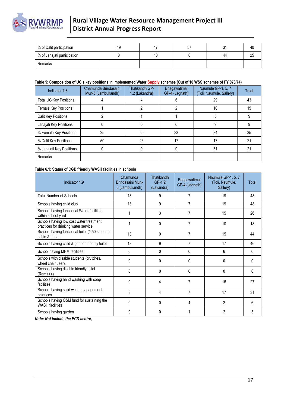

| % of Dalit participation    | 49 | 47 | C. | 40 |
|-----------------------------|----|----|----|----|
| % of Janajati participation |    | 10 | 44 | 25 |
| Remarks                     |    |    |    |    |

#### **Table 5: Composition of UC's key positions in implemented Water Supply schemes (Out of 10 WSS schemes of FY 073/74)**

| Indicator 1.8            | Chamunda Brindasaini<br>Mun-5 (Jambukandh) | Thatikandh GP-<br>1,2 (Lakandra) | Bhagawatimai<br>GP-4 (Jagnath) | Naumule GP-1, 5, 7<br>Toli, Naumule, Sallery) | Total |
|--------------------------|--------------------------------------------|----------------------------------|--------------------------------|-----------------------------------------------|-------|
| Total UC Key Positions   |                                            |                                  |                                | 29                                            | 43    |
| Female Key Positions     |                                            |                                  |                                | 10                                            | 15    |
| Dalit Key Positions      |                                            |                                  |                                |                                               |       |
| Janajati Key Positions   |                                            |                                  |                                |                                               |       |
| % Female Key Positions   | 25                                         | 50                               | 33                             | 34                                            | 35    |
| % Dalit Key Positions    | 50                                         | 25                               | 17                             | 17                                            | 21    |
| % Janajati Key Positions |                                            |                                  |                                | 31                                            | 21    |
| Remarks                  |                                            |                                  |                                |                                               |       |

#### **Table 6.1: Status of CGD friendly WASH facilities in schools**

| Indicator 1.9                                                                    | Chamunda<br>Brindasaini Mun-<br>5 (Jambukandh) | Thatikandh<br>GP-1.2<br>(Lakandra) | Bhagawatimai<br>GP-4 (Jagnath) | Naumule GP-1, 5, 7<br>(Toli, Naumule,<br>Sallery) | Total        |
|----------------------------------------------------------------------------------|------------------------------------------------|------------------------------------|--------------------------------|---------------------------------------------------|--------------|
| <b>Total Number of Schools</b>                                                   | 13                                             | 9                                  | $\overline{7}$                 | 19                                                | 48           |
| Schools having child club                                                        | 13                                             | 9                                  | 7                              | 19                                                | 48           |
| Schools having functional Water facilities<br>within school yard                 |                                                | 3                                  | 7                              | 15                                                | 26           |
| Schools having low cost water treatment<br>practices for drinking water service. |                                                | $\Omega$                           | 7                              | 10                                                | 18           |
| Schools having functional toilet (1:50 student)<br>cabin & urinal.               | 13                                             | 9                                  | $\overline{7}$                 | 15                                                | 44           |
| Schools having child & gender friendly toilet                                    | 13                                             | 9                                  | $\overline{7}$                 | 17                                                | 46           |
| School having MHM facilities                                                     | $\mathbf{0}$                                   | $\Omega$                           | 0                              | 6                                                 | ĥ            |
| Schools with disable students (crutches,<br>wheel chair user).                   | 0                                              | 0                                  | 0                              | 0                                                 | 0            |
| Schools having disable friendly toilet<br>$(Ram++)$                              | $\Omega$                                       | $\Omega$                           | <sup>0</sup>                   | 0                                                 | <sup>0</sup> |
| Schools having hand washing with soap<br>facilities                              | $\Omega$                                       | 4                                  | 7                              | 16                                                | 27           |
| Schools having solid waste management<br>practices                               | 3                                              | 4                                  | $\overline{7}$                 | 17                                                | 31           |
| Schools having O&M fund for sustaining the<br><b>WASH</b> facilities             | 0                                              | $\Omega$                           | 4                              | $\overline{2}$                                    | 6            |
| Schools having garden                                                            | $\Omega$                                       | $\Omega$                           |                                | $\overline{2}$                                    | 3            |

*Note: Not include the ECD centre,*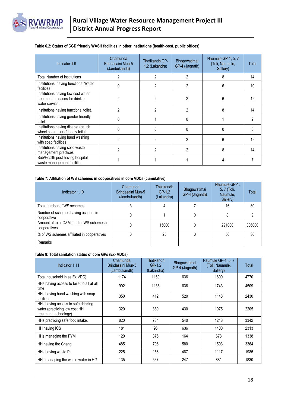

#### **Table 6.2: Status of CGD friendly WASH facilities in other institutions (health-post, public offices)**

| Indicator 1.9                                                                            | Chamunda<br>Brindasaini Mun-5<br>(Jambukandh) | <b>Thatikandh GP-</b><br>1,2 (Lakandra) | Bhagawatimai<br>GP-4 (Jagnath) | Naumule GP-1, 5, 7<br>(Toli, Naumule,<br>Sallery) | Total |
|------------------------------------------------------------------------------------------|-----------------------------------------------|-----------------------------------------|--------------------------------|---------------------------------------------------|-------|
| <b>Total Number of institutions</b>                                                      | 2                                             | 2                                       | 2                              | 8                                                 | 14    |
| Institutions having functional Water<br>facilities                                       |                                               | 2                                       | 2                              | 6                                                 | 10    |
| Institutions having low cost water<br>treatment practices for drinking<br>water service. | 2                                             | 2                                       | 2                              | 6                                                 | 12    |
| Institutions having functional toilet.                                                   | 2                                             | 2                                       | 2                              | 8                                                 | 14    |
| Institutions having gender friendly<br>toilet                                            |                                               |                                         | 0                              |                                                   |       |
| Institutions having disable (crutch,<br>wheel chair user) friendly toilet.               |                                               |                                         | U                              |                                                   |       |
| Institutions having hand washing<br>with soap facilities                                 | 2                                             |                                         | 2                              | 6                                                 | 12    |
| Institutions having solid waste<br>management practices                                  | $\mathfrak{p}$                                | 2                                       | 2                              | 8                                                 | 14    |
| Sub/Health post having hospital<br>waste management facilities                           |                                               |                                         |                                |                                                   |       |

#### **Table 7: Affiliation of WS schemes in cooperatives in core VDCs (cumulative)**

| Indicator 1.10                                            | Chamunda<br>Brindasaini Mun-5<br>(Jambukandh) | Thatikandh<br>$GP-1.2$<br>(Lakandra) | Bhagawatimai<br>GP-4 (Jagnath) | Naumule GP-1,<br>5, 7 (Toli,<br>Naumule,<br>Sallery) | Total  |
|-----------------------------------------------------------|-----------------------------------------------|--------------------------------------|--------------------------------|------------------------------------------------------|--------|
| Total number of WS schemes                                |                                               |                                      |                                | 16                                                   | 30     |
| Number of schemes having account in<br>cooperative        |                                               |                                      |                                |                                                      |        |
| Amount of total O&M fund of WS schemes in<br>cooperatives |                                               | 15000                                |                                | 291000                                               | 306000 |
| % of WS schemes affiliated in cooperatives                |                                               | 25                                   |                                | 50                                                   | 30     |
| Remarks                                                   |                                               |                                      |                                |                                                      |        |

#### **Table 8: Total sanitation status of core GPs (Ex- VDCs)**

| Indicator 1.11                                                                               | Chamunda<br>Brindasaini Mun-5<br>(Jambukandh) | <b>Thatikandh</b><br>$GP-1.2$<br>(Lakandra) | Bhagawatimai<br>GP-4 (Jagnath) | Naumule GP-1, 5, 7<br>(Toli, Naumule,<br>Sallery) | Total |
|----------------------------------------------------------------------------------------------|-----------------------------------------------|---------------------------------------------|--------------------------------|---------------------------------------------------|-------|
| Total household in as Ex VDC)                                                                | 1174                                          | 1160                                        | 636                            | 1800                                              | 4770  |
| HHs having access to toilet to all at all<br>time                                            | 992                                           | 1138                                        | 636                            | 1743                                              | 4509  |
| HHs having hand washing with soap<br>facilities                                              | 350                                           | 412                                         | 520                            | 1148                                              | 2430  |
| HHs having access to safe drinking<br>water (practicing low cost HH<br>treatment technology) | 320                                           | 380                                         | 430                            | 1075                                              | 2205  |
| HHs practicing safe food intake.                                                             | 820                                           | 734                                         | 540                            | 1248                                              | 3342  |
| HH having ICS                                                                                | 181                                           | 96                                          | 636                            | 1400                                              | 2313  |
| HHs managing the FYM                                                                         | 120                                           | 376                                         | 164                            | 678                                               | 1338  |
| HH having the Chang                                                                          | 485                                           | 796                                         | 580                            | 1503                                              | 3364  |
| HHs having waste Pit                                                                         | 225                                           | 156                                         | 487                            | 1117                                              | 1985  |
| HHs managing the waste water in HG                                                           | 135                                           | 567                                         | 247                            | 881                                               | 1830  |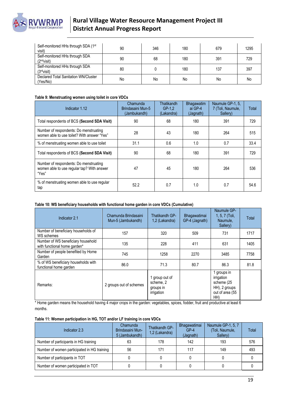

| Self-monitored HHs through SDA (1st<br>visit)             | 90 | 346 | 180 | 679 | 1295 |
|-----------------------------------------------------------|----|-----|-----|-----|------|
| Self-monitored HHs through SDA<br>(2 <sup>nd</sup> visit) | 90 | 68  | 180 | 391 | 729  |
| Self-monitored HHs through SDA<br>(3 <sup>rd</sup> visit) | 80 |     | 180 | 137 | 397  |
| Declared Total Sanitation WN/Cluster<br>(Yes/No)          | No | No  | No  | No  | No   |

#### **Table 9: Menstruating women using toilet in core VDCs**

| Indicator 1.12                                                                                | Chamunda<br>Brindasaini Mun-5<br>(Jambukandh) | Thatikandh<br>$GP-1.2$<br>(Lakandra) | <b>Bhagawatim</b><br>ai GP-4<br>(Jagnath) | Naumule GP-1, 5,<br>7 (Toli, Naumule,<br>Sallery) | Total |
|-----------------------------------------------------------------------------------------------|-----------------------------------------------|--------------------------------------|-------------------------------------------|---------------------------------------------------|-------|
| Total respondents of BCS (Second SDA Visit)                                                   | 90                                            | 68                                   | 180                                       | 391                                               | 729   |
| Number of respondents: Do menstruating<br>women able to use toilet? With answer "Yes"         | 28                                            | 43                                   | 180                                       | 264                                               | 515   |
| % of menstruating women able to use toilet                                                    | 31.1                                          | 0.6                                  | 1.0                                       | 0.7                                               | 33.4  |
| Total respondents of BCS (Second SDA Visit)                                                   | 90                                            | 68                                   | 180                                       | 391                                               | 729   |
| Number of respondents: Do menstruating<br>women able to use regular tap? With answer<br>"Yes" | 47                                            | 45                                   | 180                                       | 264                                               | 536   |
| % of menstruating women able to use regular<br>tap                                            | 52.2                                          | 0.7                                  | 1.0                                       | 0.7                                               | 54.6  |

#### **Table 10: WS beneficiary households with functional home garden in core VDCs (Cumulative)**

| Indicator 2.1                                                      | Chamunda Brindasaini<br>Mun-5 (Jambukandh) | Thatikandh GP-<br>1,2 (Lakandra)                       | Bhagawatimai<br>GP-4 (Jagnath) | Naumule GP-<br>1, 5, 7 (Toli,<br>Naumule,<br>Sallery)                              | Total |
|--------------------------------------------------------------------|--------------------------------------------|--------------------------------------------------------|--------------------------------|------------------------------------------------------------------------------------|-------|
| Number of beneficiary households of<br>WS schemes                  | 157                                        | 320                                                    | 509                            | 731                                                                                | 1717  |
| Number of WS beneficiary household<br>with functional home garden* | 135                                        | 228                                                    | 411                            | 631                                                                                | 1405  |
| Number of people benefited by Home<br>Garden                       | 745                                        | 1258                                                   | 2270                           | 3485                                                                               | 7758  |
| % of WS beneficiary households with<br>functional home garden      | 86.0                                       | 71.3                                                   | 80.7                           | 86.3                                                                               | 81.8  |
| Remarks:                                                           | 2 groups out of schemes                    | 1 group out of<br>scheme, 2<br>groups in<br>irrigation |                                | 1 groups in<br>irrigation<br>scheme (25<br>HH), 2 groups<br>out of area (55<br>HH) |       |

\* Home garden means the household having 4 major crops in the garden: vegetables, spices, fodder, fruit and productive at least 6 months.

#### **Table 11: Women participation in HG, TOT and/or LF training in core VDCs**

| Indicator 2.3                               | Chamunda<br>Brindasaini Mun-<br>5 (Jambukandh) | Thatikandh GP-<br>1,2 (Lakandra) | Bhagawatimai<br>$GP-4$<br>(Jagnath) | Naumule GP-1, 5, 7<br>(Toli, Naumule,<br>Sallery) | Total |
|---------------------------------------------|------------------------------------------------|----------------------------------|-------------------------------------|---------------------------------------------------|-------|
| Number of participants in HG training       | 63                                             | 178                              | 142                                 | 193                                               | 576   |
| Number of women participated in HG training | 56                                             | 171                              | 117                                 | 149                                               | 493   |
| Number of participants in TOT               |                                                |                                  |                                     |                                                   |       |
| Number of women participated in TOT         |                                                |                                  |                                     |                                                   |       |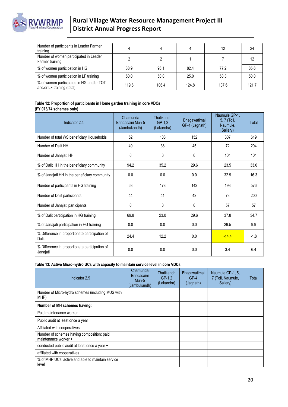

| Number of participants in Leader Farmer<br>training                    |       |       |       | 12    | 24    |
|------------------------------------------------------------------------|-------|-------|-------|-------|-------|
| Number of women participated in Leader<br>Farmer training              |       |       |       |       |       |
| % of women participation in HG                                         | 88.9  | 96.1  | 82.4  | 77.2  | 85.6  |
| % of women participation in LF training                                | 50.0  | 50.0  | 25.0  | 58.3  | 50.0  |
| % of women participated in HG and/or TOT<br>and/or LF training (total) | 119.6 | 106.4 | 124.8 | 137.6 | 121.7 |

#### **Table 12: Proportion of participants in Home garden training in core VDCs (FY 073/74 schemes only)**

| Indicator 2.4                                              | Chamunda<br>Brindasaini Mun-5<br>(Jambukandh) | <b>Thatikandh</b><br>$GP-1.2$<br>(Lakandra) | Bhagawatimai<br>GP-4 (Jagnath) | Naumule GP-1,<br>5, 7 (Toli,<br>Naumule,<br>Sallery) | Total  |
|------------------------------------------------------------|-----------------------------------------------|---------------------------------------------|--------------------------------|------------------------------------------------------|--------|
| Number of total WS beneficiary Households                  | 52                                            | 108                                         | 152                            | 307                                                  | 619    |
| Number of Dalit HH                                         | 49                                            | 38                                          | 45                             | 72                                                   | 204    |
| Number of Janajati HH                                      | 0                                             | 0                                           | 0                              | 101                                                  | 101    |
| % of Dalit HH in the beneficiary community                 | 94.2                                          | 35.2                                        | 29.6                           | 23.5                                                 | 33.0   |
| % of Janajati HH in the beneficiary community              | 0.0                                           | 0.0                                         | 0.0                            | 32.9                                                 | 16.3   |
| Number of participants in HG training                      | 63                                            | 178                                         | 142                            | 193                                                  | 576    |
| Number of Dalit participants                               | 44                                            | 41                                          | 42                             | 73                                                   | 200    |
| Number of Janajati participants                            | 0                                             | 0                                           | 0                              | 57                                                   | 57     |
| % of Dalit participation in HG training                    | 69.8                                          | 23.0                                        | 29.6                           | 37.8                                                 | 34.7   |
| % of Janajati participation in HG training                 | 0.0                                           | 0.0                                         | 0.0                            | 29.5                                                 | 9.9    |
| % Difference in proportionate participation of<br>Dalit    | 24.4                                          | 12.2                                        | 0.0                            | $-14.4$                                              | $-1.8$ |
| % Difference in proportionate participation of<br>Janajati | 0.0                                           | 0.0                                         | 0.0                            | 3.4                                                  | 6.4    |

#### **Table 13: Active Micro-hydro UCs with capacity to maintain service level in core VDCs**

| Indicator 2.9                                                      | Chamunda<br><b>Brindasaini</b><br>Mun-5<br>(Jambukandh) | Thatikandh<br>$GP-1.2$<br>(Lakandra) | Bhagawatimai<br>$GP-4$<br>(Jagnath) | Naumule GP-1, 5,<br>7 (Toli, Naumule,<br>Sallery) | Total |
|--------------------------------------------------------------------|---------------------------------------------------------|--------------------------------------|-------------------------------------|---------------------------------------------------|-------|
| Number of Micro-hydro schemes (including MUS with<br>MHP)          |                                                         |                                      |                                     |                                                   |       |
| Number of MH schemes having:                                       |                                                         |                                      |                                     |                                                   |       |
| Paid maintenance worker                                            |                                                         |                                      |                                     |                                                   |       |
| Public audit at least once a year                                  |                                                         |                                      |                                     |                                                   |       |
| Affiliated with cooperatives                                       |                                                         |                                      |                                     |                                                   |       |
| Number of schemes having composition: paid<br>maintenance worker + |                                                         |                                      |                                     |                                                   |       |
| conducted public audit at least once a year +                      |                                                         |                                      |                                     |                                                   |       |
| affiliated with cooperatives                                       |                                                         |                                      |                                     |                                                   |       |
| % of MHP UCs: active and able to maintain service<br>level         |                                                         |                                      |                                     |                                                   |       |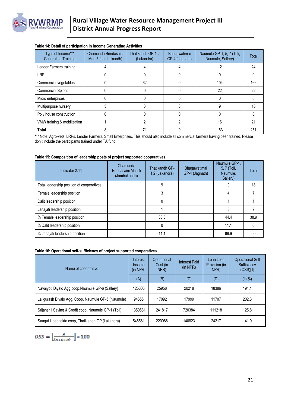

| Type of Income***<br><b>Generating Training</b> | Chamunda Brindasaini<br>Mun-5 (Jambukandh) | Thatikandh GP-1,2<br>(Lakandra) | Bhagawatimai<br>GP-4 (Jagnath) | Naumule GP-1, 5, 7 (Toli,<br>Naumule, Sallery) | Total |
|-------------------------------------------------|--------------------------------------------|---------------------------------|--------------------------------|------------------------------------------------|-------|
| Leader Farmers training                         |                                            |                                 |                                | 12                                             | 24    |
| <b>LRP</b>                                      |                                            |                                 |                                |                                                |       |
| Commercial vegetables                           |                                            | 62                              |                                | 104                                            | 166   |
| <b>Commercial Spices</b>                        |                                            |                                 |                                | 22                                             | 22    |
| Micro enterprises                               |                                            |                                 |                                |                                                |       |
| Multipurpose nursery                            |                                            |                                 |                                |                                                | 18    |
| Poly house construction                         |                                            |                                 |                                |                                                |       |
| VMW training & mobilization                     |                                            |                                 |                                | 16                                             | 21    |
| Total                                           |                                            |                                 |                                | 163                                            | 251   |

#### **Table 14: Detail of participation in Income Generating Activities**

\*\*\* Note: Agro-vets, LRPs, Leader Farmers, Small Enterprises. This should also include all commercial farmers having been trained. Please don't include the participants trained under TA fund.

#### **Table 15: Composition of leadership posts of project supported cooperatives.**

| Indicator 2.11                            | Chamunda<br>Brindasaini Mun-5<br>(Jambukandh) | Thatikandh GP-<br>1,2 (Lakandra) | Bhagawatimai<br>GP-4 (Jagnath) | Naumule GP-1,<br>5, 7 (Toli,<br>Naumule,<br>Sallery) | Total |
|-------------------------------------------|-----------------------------------------------|----------------------------------|--------------------------------|------------------------------------------------------|-------|
| Total leadership position of cooperatives |                                               | 9                                |                                |                                                      | 18    |
| Female leadership position                |                                               |                                  |                                |                                                      |       |
| Dalit leadership position                 |                                               |                                  |                                |                                                      |       |
| Janajati leadership position              |                                               |                                  |                                |                                                      | 9     |
| % Female leadership position              |                                               | 33.3                             |                                | 44.4                                                 | 38.9  |
| % Dalit leadership position               |                                               |                                  |                                | 11.1                                                 | 6     |
| % Janajati leadership position            |                                               | 11.1                             |                                | 88.9                                                 | 50    |

#### **Table 16: Operational self-sufficiency of project supported cooperatives**

| Name of cooperative                                  | Interest<br>Income<br>$(in$ NPR $)$ | Operational<br>Cost (in<br>NPR) | <b>Interest Paid</b><br>(in NPR) | Loan Loss<br>Provision (in<br>NPR) | <b>Operational Self</b><br>Sufficiency<br>(OSS)[1] |
|------------------------------------------------------|-------------------------------------|---------------------------------|----------------------------------|------------------------------------|----------------------------------------------------|
|                                                      | (A)                                 | (B)                             | (C)                              | (D)                                | (in %)                                             |
| Navajyoti Diyalo Agg.coop, Naumule GP-6 (Sallery)    | 125306                              | 25958                           | 20218                            | 18386                              | 194.1                                              |
| Laligurash Diyalo Agg. Coop, Naumule GP-5 (Naumule)  | 94655                               | 17092                           | 17999                            | 11707                              | 202.3                                              |
| Srijanshil Saving & Credit coop, Naumule GP-1 (Toli) | 1350581                             | 241817                          | 720384                           | 111218                             | 125.8                                              |
| Saugat Upabhokta coop, Thatikandh GP (Lakandra)      | 546561                              | 220088                          | 140823                           | 24217                              | 141.9                                              |

$$
OSS = \left[\frac{A}{(B+C+D)}\right] * 100
$$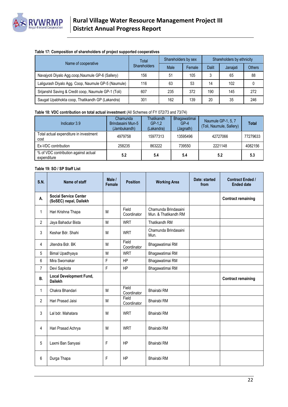

#### **Table 17: Composition of shareholders of project supported cooperatives**

| Name of cooperative                                  | Total               | Shareholders by sex |        | Shareholders by ethnicity |          |               |
|------------------------------------------------------|---------------------|---------------------|--------|---------------------------|----------|---------------|
|                                                      | <b>Shareholders</b> | Male                | Female | <b>Dalit</b>              | Janaiati | <b>Others</b> |
| Navajyoti Diyalo Agg.coop, Naumule GP-6 (Sallery)    | 156                 | 51                  | 105    | 3                         | 65       | 88            |
| Laligurash Diyalo Agg. Coop, Naumule GP-5 (Naumule)  | 116                 | 63                  | 53     | 14                        | 102      |               |
| Srijanshil Saving & Credit coop, Naumule GP-1 (Toli) | 607                 | 235                 | 372    | 190                       | 145      | 272           |
| Saugat Upabhokta coop, Thatikandh GP (Lakandra)      | 301                 | 162                 | 139    | 20                        | 35       | 246           |

#### **Table 18: VDC contribution on total actual investment** (All Schemes of FY 072/73 and 73/74)

| Indicator 3.9                                       | Chamunda<br>Brindasaini Mun-5<br>(Jambukandh) | <b>Thatikandh</b><br>$GP-1.2$<br>(Lakandra) | Bhagawatimai<br>$GP-4$<br>(Jagnath) | Naumule GP-1, 5, 7<br>(Toli, Naumule, Sallery) | <b>Total</b> |
|-----------------------------------------------------|-----------------------------------------------|---------------------------------------------|-------------------------------------|------------------------------------------------|--------------|
| Total actual expenditure in investment<br>cost      | 4979758                                       | 15977313                                    | 13595496                            | 42727066                                       | 77279633     |
| Ex-VDC contribution                                 | 258235                                        | 863222                                      | 739550                              | 2221148                                        | 4082156      |
| % of VDC contribution against actual<br>expenditure | 5.2                                           | 5.4                                         | 5.4                                 | 5.2                                            | 5.3          |

#### **Table 19: SO / SP Staff List**

| <b>S.N.</b>    | Name of staff                                          | Male /<br><b>Female</b> | <b>Position</b>      | <b>Working Area</b>                          | Date: started<br>from | <b>Contract Ended /</b><br><b>Ended date</b> |
|----------------|--------------------------------------------------------|-------------------------|----------------------|----------------------------------------------|-----------------------|----------------------------------------------|
| А.             | <b>Social Service Center</b><br>(SoSEC) nepal, Dailekh |                         |                      |                                              |                       | <b>Contract remaining</b>                    |
| $\mathbf{1}$   | Hari Krishna Thapa                                     | M                       | Field<br>Coordinator | Chamunda Brindasaini<br>Mun. & Thatikandh RM |                       |                                              |
| $\overline{2}$ | Jaya Bahadur Bista                                     | M                       | <b>WRT</b>           | <b>Thatikandh RM</b>                         |                       |                                              |
| 3              | Keshar Bdr. Shahi                                      | M                       | <b>WRT</b>           | Chamunda Brindasaini<br>Mun.                 |                       |                                              |
| 4              | Jitendra Bdr. BK                                       | M                       | Field<br>Coordinator | Bhagawatimai RM                              |                       |                                              |
| 5              | Bimal Upadhyaya                                        | M                       | <b>WRT</b>           | Bhagawatimai RM                              |                       |                                              |
| 6              | Mira Swornakar                                         | F                       | <b>HP</b>            | Bhagawatimai RM                              |                       |                                              |
| $\overline{7}$ | Devi Sapkota                                           | F                       | <b>HP</b>            | Bhagawatimai RM                              |                       |                                              |
| В.             | <b>Local Development Fund,</b><br><b>Dailekh</b>       |                         |                      |                                              |                       | <b>Contract remaining</b>                    |
| 1              | Chakra Bhandari                                        | M                       | Field<br>Coordinator | Bhairabi RM                                  |                       |                                              |
| $\overline{2}$ | Hari Prasad Jaisi                                      | M                       | Field<br>Coordinator | Bhairabi RM                                  |                       |                                              |
| 3              | Lal bdr. Mahatara                                      | M                       | <b>WRT</b>           | Bhairabi RM                                  |                       |                                              |
| 4              | Hari Prasad Achrya                                     | M                       | <b>WRT</b>           | Bhairabi RM                                  |                       |                                              |
| 5              | Laxmi Ban Sanyasi                                      | F                       | <b>HP</b>            | Bhairabi RM                                  |                       |                                              |
| 6              | Durga Thapa                                            | F                       | <b>HP</b>            | Bhairabi RM                                  |                       |                                              |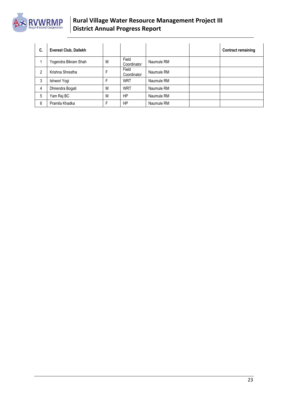

| C. | Everest Club, Dailekh |   |                      |            | <b>Contract remaining</b> |
|----|-----------------------|---|----------------------|------------|---------------------------|
|    | Yogendra Bikram Shah  | M | Field<br>Coordinator | Naumule RM |                           |
| 2  | Krishna Shrestha      | F | Field<br>Coordinator | Naumule RM |                           |
| 3  | Ishwori Yogi          | F | <b>WRT</b>           | Naumule RM |                           |
| 4  | Dhirendra Bogati      | M | <b>WRT</b>           | Naumule RM |                           |
| 5  | Yam Raj BC            | M | <b>HP</b>            | Naumule RM |                           |
| 6  | Pramila Khadka        | F | HP                   | Naumule RM |                           |